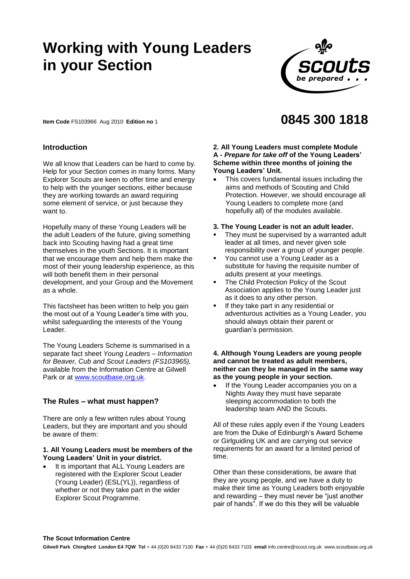# **Working with Young Leaders in your Section**



**Item Code** FS103966 Aug 2010 **Edition no** 1

# **Introduction**

We all know that Leaders can be hard to come by. Help for your Section comes in many forms. Many Explorer Scouts are keen to offer time and energy to help with the younger sections, either because they are working towards an award requiring some element of service, or just because they want to.

Hopefully many of these Young Leaders will be the adult Leaders of the future, giving something back into Scouting having had a great time themselves in the youth Sections. It is important that we encourage them and help them make the most of their young leadership experience, as this will both benefit them in their personal development, and your Group and the Movement as a whole.

This factsheet has been written to help you gain the most out of a Young Leader's time with you, whilst safeguarding the interests of the Young Leader.

The Young Leaders Scheme is summarised in a separate fact sheet *Young Leaders – Information for Beaver, Cub and Scout Leaders (FS103965),*  available from the Information Centre at Gilwell Park or at [www.scoutbase.org.uk.](http://www.scoutbase.org.uk/)

# **The Rules – what must happen?**

There are only a few written rules about Young Leaders, but they are important and you should be aware of them:

#### **1. All Young Leaders must be members of the Young Leaders' Unit in your district.**

 It is important that ALL Young Leaders are registered with the Explorer Scout Leader (Young Leader) (ESL(YL)), regardless of whether or not they take part in the wider Explorer Scout Programme.

# **0845 300 1818**

### **2. All Young Leaders must complete Module A -** *Prepare for take off* **of the Young Leaders' Scheme within three months of joining the Young Leaders' Unit.**

- This covers fundamental issues including the aims and methods of Scouting and Child Protection. However, we should encourage all Young Leaders to complete more (and hopefully all) of the modules available.
- **3. The Young Leader is not an adult leader.**
- They must be supervised by a warranted adult leader at all times, and never given sole responsibility over a group of younger people.
- You cannot use a Young Leader as a substitute for having the requisite number of adults present at your meetings.
- The Child Protection Policy of the Scout Association applies to the Young Leader just as it does to any other person.
- If they take part in any residential or adventurous activities as a Young Leader, you should always obtain their parent or guardian's permission.

#### **4. Although Young Leaders are young people and cannot be treated as adult members, neither can they be managed in the same way as the young people in your section.**

 If the Young Leader accompanies you on a Nights Away they must have separate sleeping accommodation to both the leadership team AND the Scouts.

All of these rules apply even if the Young Leaders are from the Duke of Edinburgh's Award Scheme or Girlguiding UK and are carrying out service requirements for an award for a limited period of time.

Other than these considerations, be aware that they are young people, and we have a duty to make their time as Young Leaders both enjoyable and rewarding – they must never be "just another pair of hands". If we do this they will be valuable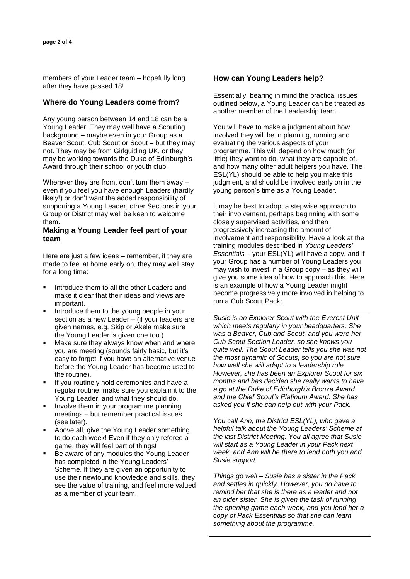members of your Leader team – hopefully long after they have passed 18!

# **Where do Young Leaders come from?**

Any young person between 14 and 18 can be a Young Leader. They may well have a Scouting background – maybe even in your Group as a Beaver Scout, Cub Scout or Scout – but they may not. They may be from Girlguiding UK, or they may be working towards the Duke of Edinburgh's Award through their school or youth club.

Wherever they are from, don't turn them away – even if you feel you have enough Leaders (hardly likely!) or don't want the added responsibility of supporting a Young Leader, other Sections in your Group or District may well be keen to welcome them.

## **Making a Young Leader feel part of your team**

Here are just a few ideas – remember, if they are made to feel at home early on, they may well stay for a long time:

- Introduce them to all the other Leaders and make it clear that their ideas and views are important.
- Introduce them to the young people in your section as a new Leader – (if your leaders are given names, e.g. Skip or Akela make sure the Young Leader is given one too.)
- Make sure they always know when and where you are meeting (sounds fairly basic, but it's easy to forget if you have an alternative venue before the Young Leader has become used to the routine).
- If you routinely hold ceremonies and have a regular routine, make sure you explain it to the Young Leader, and what they should do.
- Involve them in your programme planning meetings – but remember practical issues (see later).
- Above all, give the Young Leader something to do each week! Even if they only referee a game, they will feel part of things!
- Be aware of any modules the Young Leader has completed in the Young Leaders' Scheme. If they are given an opportunity to use their newfound knowledge and skills, they see the value of training, and feel more valued as a member of your team.

# **How can Young Leaders help?**

Essentially, bearing in mind the practical issues outlined below, a Young Leader can be treated as another member of the Leadership team.

You will have to make a judgment about how involved they will be in planning, running and evaluating the various aspects of your programme. This will depend on how much (or little) they want to do, what they are capable of, and how many other adult helpers you have. The ESL(YL) should be able to help you make this judgment, and should be involved early on in the young person's time as a Young Leader.

It may be best to adopt a stepwise approach to their involvement, perhaps beginning with some closely supervised activities, and then progressively increasing the amount of involvement and responsibility. Have a look at the training modules described in *Young Leaders' Essentials* – your ESL(YL) will have a copy, and if your Group has a number of Young Leaders you may wish to invest in a Group copy – as they will give you some idea of how to approach this. Here is an example of how a Young Leader might become progressively more involved in helping to run a Cub Scout Pack:

*Susie is an Explorer Scout with the Everest Unit which meets regularly in your headquarters. She was a Beaver, Cub and Scout, and you were her Cub Scout Section Leader, so she knows you quite well. The Scout Leader tells you she was not the most dynamic of Scouts, so you are not sure how well she will adapt to a leadership role. However, she has been an Explorer Scout for six months and has decided she really wants to have a go at the Duke of Edinburgh's Bronze Award and the Chief Scout's Platinum Award. She has asked you if she can help out with your Pack.*

*You call Ann, the District ESL(YL), who gave a helpful talk about the Young Leaders' Scheme at the last District Meeting. You all agree that Susie will start as a Young Leader in your Pack next week, and Ann will be there to lend both you and Susie support.*

*Things go well – Susie has a sister in the Pack and settles in quickly. However, you do have to remind her that she is there as a leader and not an older sister. She is given the task of running the opening game each week, and you lend her a copy of Pack Essentials so that she can learn something about the programme.*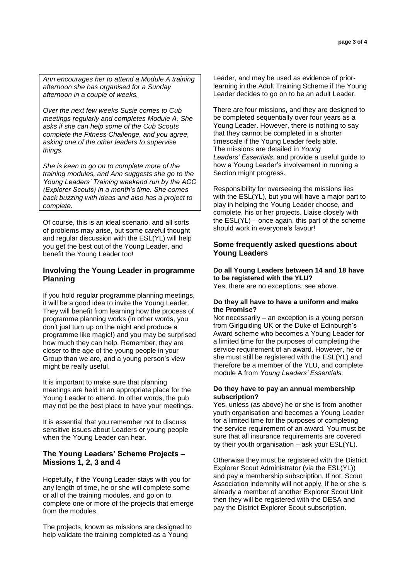*Ann encourages her to attend a Module A training afternoon she has organised for a Sunday afternoon in a couple of weeks.*

*Over the next few weeks Susie comes to Cub meetings regularly and completes Module A. She asks if she can help some of the Cub Scouts complete the Fitness Challenge, and you agree, asking one of the other leaders to supervise things.*

*She is keen to go on to complete more of the training modules, and Ann suggests she go to the Young Leaders' Training weekend run by the ACC (Explorer Scouts) in a month's time. She comes back buzzing with ideas and also has a project to complete.*

Of course, this is an ideal scenario, and all sorts of problems may arise, but some careful thought and regular discussion with the ESL(YL) will help you get the best out of the Young Leader, and benefit the Young Leader too!

# **Involving the Young Leader in programme Planning**

If you hold regular programme planning meetings, it will be a good idea to invite the Young Leader. They will benefit from learning how the process of programme planning works (in other words, you don't just turn up on the night and produce a programme like magic!) and you may be surprised how much they can help. Remember, they are closer to the age of the young people in your Group than we are, and a young person's view might be really useful.

It is important to make sure that planning meetings are held in an appropriate place for the Young Leader to attend. In other words, the pub may not be the best place to have your meetings.

It is essential that you remember not to discuss sensitive issues about Leaders or young people when the Young Leader can hear.

# **The Young Leaders' Scheme Projects – Missions 1, 2, 3 and 4**

Hopefully, if the Young Leader stays with you for any length of time, he or she will complete some or all of the training modules, and go on to complete one or more of the projects that emerge from the modules.

The projects, known as missions are designed to help validate the training completed as a Young

Leader, and may be used as evidence of priorlearning in the Adult Training Scheme if the Young Leader decides to go on to be an adult Leader.

There are four missions, and they are designed to be completed sequentially over four years as a Young Leader. However, there is nothing to say that they cannot be completed in a shorter timescale if the Young Leader feels able. The missions are detailed in *Young Leaders' Essentials*, and provide a useful guide to how a Young Leader's involvement in running a Section might progress.

Responsibility for overseeing the missions lies with the ESL(YL), but you will have a major part to play in helping the Young Leader choose, and complete, his or her projects. Liaise closely with the ESL(YL) – once again, this part of the scheme should work in everyone's favour!

# **Some frequently asked questions about Young Leaders**

## **Do all Young Leaders between 14 and 18 have to be registered with the YLU?**

Yes, there are no exceptions, see above.

#### **Do they all have to have a uniform and make the Promise?**

Not necessarily – an exception is a young person from Girlguiding UK or the Duke of Edinburgh's Award scheme who becomes a Young Leader for a limited time for the purposes of completing the service requirement of an award. However, he or she must still be registered with the ESL(YL) and therefore be a member of the YLU, and complete module A from *Young Leaders' Essentials.*

## **Do they have to pay an annual membership subscription?**

Yes, unless (as above) he or she is from another youth organisation and becomes a Young Leader for a limited time for the purposes of completing the service requirement of an award. You must be sure that all insurance requirements are covered by their youth organisation – ask your ESL(YL).

Otherwise they must be registered with the District Explorer Scout Administrator (via the ESL(YL)) and pay a membership subscription. If not, Scout Association indemnity will not apply. If he or she is already a member of another Explorer Scout Unit then they will be registered with the DESA and pay the District Explorer Scout subscription.